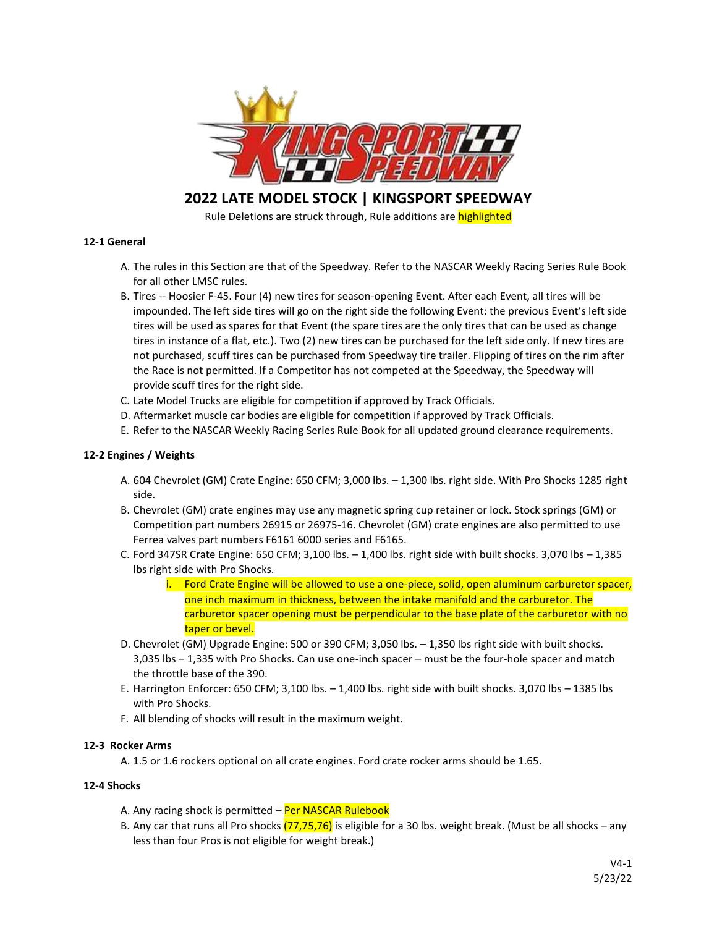

**2022 LATE MODEL STOCK | KINGSPORT SPEEDWAY** 

Rule Deletions are struck through, Rule additions are highlighted

# **12-1 General**

- A. The rules in this Section are that of the Speedway. Refer to the NASCAR Weekly Racing Series Rule Book for all other LMSC rules.
- B. Tires -- Hoosier F-45. Four (4) new tires for season-opening Event. After each Event, all tires will be impounded. The left side tires will go on the right side the following Event: the previous Event's left side tires will be used as spares for that Event (the spare tires are the only tires that can be used as change tires in instance of a flat, etc.). Two (2) new tires can be purchased for the left side only. If new tires are not purchased, scuff tires can be purchased from Speedway tire trailer. Flipping of tires on the rim after the Race is not permitted. If a Competitor has not competed at the Speedway, the Speedway will provide scuff tires for the right side.
- C. Late Model Trucks are eligible for competition if approved by Track Officials.
- D. Aftermarket muscle car bodies are eligible for competition if approved by Track Officials.
- E. Refer to the NASCAR Weekly Racing Series Rule Book for all updated ground clearance requirements.

## **12-2 Engines / Weights**

- A. 604 Chevrolet (GM) Crate Engine: 650 CFM; 3,000 lbs. 1,300 lbs. right side. With Pro Shocks 1285 right side.
- B. Chevrolet (GM) crate engines may use any magnetic spring cup retainer or lock. Stock springs (GM) or Competition part numbers 26915 or 26975-16. Chevrolet (GM) crate engines are also permitted to use Ferrea valves part numbers F6161 6000 series and F6165.
- C. Ford 347SR Crate Engine: 650 CFM; 3,100 lbs.  $-1,400$  lbs. right side with built shocks. 3,070 lbs  $-1,385$ lbs right side with Pro Shocks.
	- i. Ford Crate Engine will be allowed to use a one-piece, solid, open aluminum carburetor spacer, one inch maximum in thickness, between the intake manifold and the carburetor. The carburetor spacer opening must be perpendicular to the base plate of the carburetor with no taper or bevel.
- D. Chevrolet (GM) Upgrade Engine: 500 or 390 CFM; 3,050 lbs. 1,350 lbs right side with built shocks. 3,035 lbs – 1,335 with Pro Shocks. Can use one-inch spacer – must be the four-hole spacer and match the throttle base of the 390.
- E. Harrington Enforcer: 650 CFM; 3,100 lbs. 1,400 lbs. right side with built shocks. 3,070 lbs 1385 lbs with Pro Shocks.
- F. All blending of shocks will result in the maximum weight.

## **12-3 Rocker Arms**

A. 1.5 or 1.6 rockers optional on all crate engines. Ford crate rocker arms should be 1.65.

## **12-4 Shocks**

- A. Any racing shock is permitted Per NASCAR Rulebook
- B. Any car that runs all Pro shocks  $(77,75,76)$  is eligible for a 30 lbs. weight break. (Must be all shocks any less than four Pros is not eligible for weight break.)